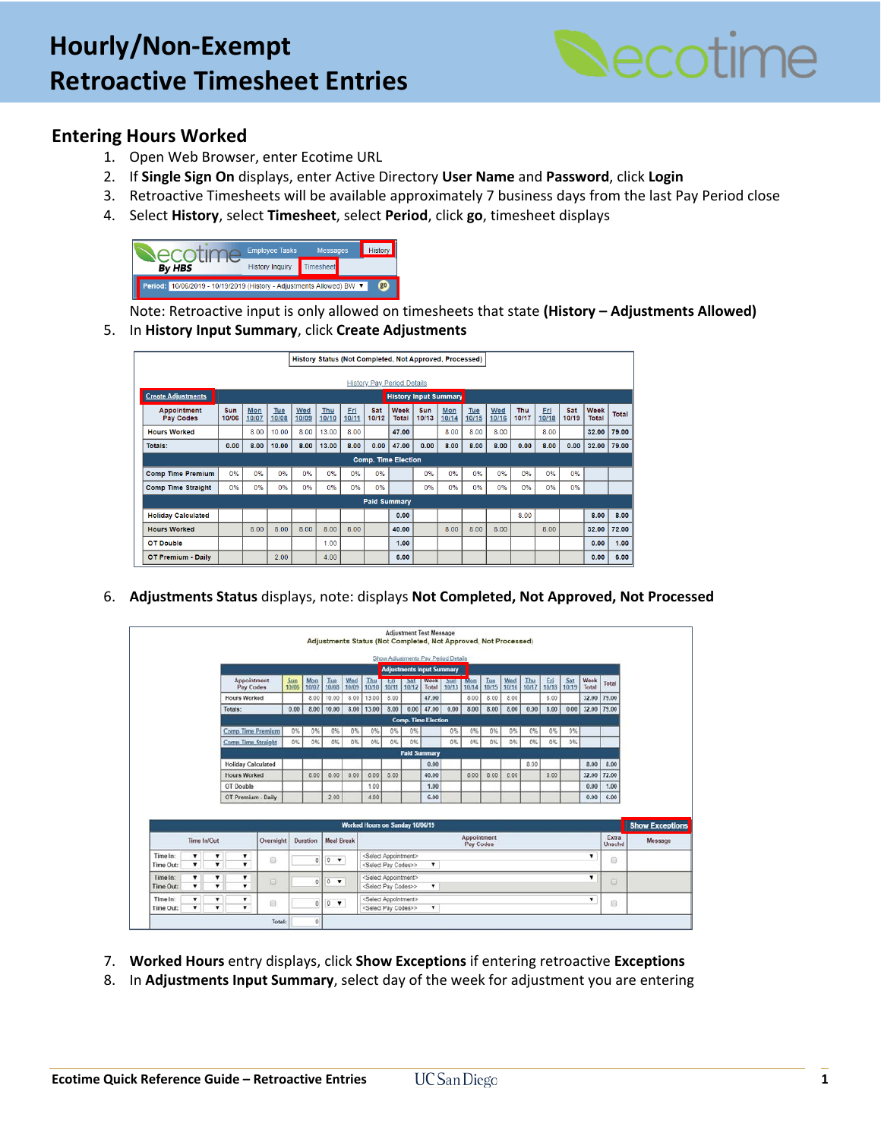

## **Entering Hours Worked**

- 1. Open Web Browser, enter Ecotime URL
- 2. If **Single Sign On** displays, enter Active Directory **User Name** and **Password**, click **Login**
- 3. Retroactive Timesheets will be available approximately 7 business days from the last Pay Period close
- 4. Select **History**, select **Timesheet**, select **Period**, click **go**, timesheet displays



Note: Retroactive input is only allowed on timesheets that state **(History – Adjustments Allowed)**

5. In **History Input Summary**, click **Create Adjustments**

|                                 |                                   |              |              | History Status (Not Completed, Not Approved, Processed) |              |              |                     |                             |                     |              |              |              |                     |              |              |                      |       |
|---------------------------------|-----------------------------------|--------------|--------------|---------------------------------------------------------|--------------|--------------|---------------------|-----------------------------|---------------------|--------------|--------------|--------------|---------------------|--------------|--------------|----------------------|-------|
|                                 | <b>History Pay Period Details</b> |              |              |                                                         |              |              |                     |                             |                     |              |              |              |                     |              |              |                      |       |
| <b>Create Adjustments</b>       | <b>History Input Summary</b>      |              |              |                                                         |              |              |                     |                             |                     |              |              |              |                     |              |              |                      |       |
| Appointment<br><b>Pay Codes</b> | Sun<br>10/06                      | Mon<br>10/07 | Tue<br>10/08 | Wed<br>10/09                                            | Thu<br>10/10 | Fri<br>10/11 | Sat<br>10/12        | <b>Week</b><br><b>Total</b> | <b>Sun</b><br>10/13 | Mon<br>10/14 | Tue<br>10/15 | Wed<br>10/16 | <b>Thu</b><br>10/17 | Fri<br>10/18 | Sat<br>10/19 | <b>Week</b><br>Total | Total |
| <b>Hours Worked</b>             |                                   | 8.00         | 10.00        | 8.00                                                    | 13.00        | 8.00         |                     | 47.00                       |                     | 8.00         | 8.00         | 8.00         |                     | 8.00         |              | 32.00                | 79.00 |
| <b>Totals:</b>                  | 0.00                              | 8.00         | 10.00        | 8.00                                                    | 13.00        | 8.00         | 0.00                | 47.00                       | 0.00                | 8.00         | 8.00         | 8.00         | 0.00                | 8.00         | 0.00         | 32.00                | 79.00 |
| <b>Comp. Time Election</b>      |                                   |              |              |                                                         |              |              |                     |                             |                     |              |              |              |                     |              |              |                      |       |
| <b>Comp Time Premium</b>        | 0%                                | 0%           | 0%           | 0%                                                      | 0%           | 0%           | 0%                  |                             | 0%                  | 0%           | 0%           | 0%           | 0%                  | 0%           | 0%           |                      |       |
| <b>Comp Time Straight</b>       | 0%                                | 0%           | 0%           | 0%                                                      | 0%           | 0%           | 0%                  |                             | 0%                  | 0%           | 0%           | 0%           | 0%                  | 0%           | 0%           |                      |       |
|                                 |                                   |              |              |                                                         |              |              | <b>Paid Summary</b> |                             |                     |              |              |              |                     |              |              |                      |       |
| <b>Holiday Calculated</b>       |                                   |              |              |                                                         |              |              |                     | 0.00                        |                     |              |              |              | 8.00                |              |              | 8.00                 | 8.00  |
| <b>Hours Worked</b>             |                                   | 8.00         | 8.00         | 8.00                                                    | 8.00         | 8.00         |                     | 40.00                       |                     | 8.00         | 8.00         | 8.00         |                     | 8.00         |              | 32.00                | 72.00 |
| <b>OT Double</b>                |                                   |              |              |                                                         | 1.00         |              |                     | 1.00                        |                     |              |              |              |                     |              |              | 0.00                 | 1.00  |
| <b>OT Premium - Daily</b>       |                                   |              | 2.00         |                                                         | 4.00         |              |                     | 6.00                        |                     |              |              |              |                     |              |              | 0.00                 | 6.00  |

6. **Adjustments Status** displays, note: displays **Not Completed, Not Approved, Not Processed**

|                              |                               |                               |                               |                          |                          |              |                                |              | Adjustments Status (Not Completed, Not Approved, Not Processed)            |                    |                     | <b>Adjustment Test Message</b>      |              |                          |              |              |              |              |              |               |                 |                        |
|------------------------------|-------------------------------|-------------------------------|-------------------------------|--------------------------|--------------------------|--------------|--------------------------------|--------------|----------------------------------------------------------------------------|--------------------|---------------------|-------------------------------------|--------------|--------------------------|--------------|--------------|--------------|--------------|--------------|---------------|-----------------|------------------------|
|                              |                               |                               |                               |                          |                          |              |                                |              |                                                                            |                    |                     | Show Adjustments Pay Period Details |              |                          |              |              |              |              |              |               |                 |                        |
|                              |                               |                               |                               |                          |                          |              |                                |              |                                                                            |                    |                     | <b>Adjustments Input Summary</b>    |              |                          |              |              |              |              |              |               |                 |                        |
|                              |                               |                               |                               | Appointment<br>Pay Codes | $rac{\text{Sun}}{10/06}$ | Mon<br>10/07 | Tue<br>10/08                   | Wed<br>10/09 | Thu<br>10/10                                                               | <b>EB</b><br>10/11 | 201<br>10/12        | Week  <br>Total                     | sum<br>10/13 | m <sub>0</sub><br>10/14  | Tue<br>10/15 | Wed<br>10/16 | Thu<br>10/17 | Eri<br>10/18 | Sat<br>10/19 | Week<br>Total | Total           |                        |
|                              |                               |                               | <b>Hours Worked</b>           |                          |                          | 8.00         | 10.00                          | 8.00         | 13.00                                                                      | 8.00               |                     | 47.00                               |              | 8.00                     | 8.00         | 8.00         |              | 8.00         |              | 32.00         | 79.00           |                        |
|                              |                               |                               | Totals:                       |                          | 0.00                     | 8.00         | 10.00                          | 8.00         | 13.00                                                                      | 8.00               |                     | $0.00$ 47.00                        | 0.00         | 8.00                     | 8.00         | 8.00         | 0.00         | 8.00         | 0.00         | 32.00 79.00   |                 |                        |
|                              |                               |                               |                               |                          |                          |              |                                |              |                                                                            |                    |                     | <b>Comp. Time Election</b>          |              |                          |              |              |              |              |              |               |                 |                        |
|                              |                               |                               |                               | <b>Comp Time Premium</b> | 0%                       | 0%           | 0%                             | 0%           | 0%                                                                         | 0%                 | 0%                  |                                     | 0%           | 0%                       | 0%           | 0%           | 0%           | 0%           | 0%           |               |                 |                        |
|                              |                               |                               | <b>Comp Time Straight</b>     |                          | 0%                       | $0\%$        | 0%                             | 0%           | 0%                                                                         | 0%                 | 0%                  |                                     | 0%           | 0%                       | 0%           | $0\%$        | 0%           | $0\%$        | 0%           |               |                 |                        |
|                              |                               |                               |                               |                          |                          |              |                                |              |                                                                            |                    | <b>Paid Summary</b> |                                     |              |                          |              |              |              |              |              |               |                 |                        |
|                              |                               |                               | <b>Holiday Calculated</b>     |                          |                          |              |                                |              |                                                                            |                    |                     | 0.00                                |              |                          |              |              | 8.00         |              |              | 8.00          | 8.00            |                        |
|                              |                               |                               | <b>Hours Worked</b>           |                          |                          | 8.00         | 8.00                           | 8.00         | 8.00                                                                       | 8.00               |                     | 40.00                               |              | 8.00                     | 6.00         | 8.00         |              | 8.00         |              | 32.00         | 72.00           |                        |
|                              |                               |                               | OT Double                     |                          |                          |              |                                |              | 1.00                                                                       |                    |                     | 1.00                                |              |                          |              |              |              |              |              | 0.00          | 1.00            |                        |
|                              |                               |                               |                               | OT Premium - Daily       |                          |              | 2.00                           |              | 4.00                                                                       |                    |                     | 6.00                                |              |                          |              |              |              |              |              | 0.00          | 6.00            |                        |
|                              |                               |                               |                               |                          |                          |              |                                |              | Worked Hours on Sunday 10/06/19                                            |                    |                     |                                     |              |                          |              |              |              |              |              |               |                 | <b>Show Exceptions</b> |
|                              | Time In/Out                   |                               |                               | Overnight                |                          | Duration     | <b>Meal Break</b>              |              |                                                                            |                    |                     |                                     |              | Appointment<br>Pay Codes |              |              |              |              |              |               | Extra<br>Unschd |                        |
| Time In:<br><b>Time Out:</b> | ۰<br>$\blacksquare$           | $\pmb{\mathbf{v}}$            | $\blacksquare$                | 6                        |                          | O            | $0 - v$                        |              | <select appointment=""><br/><select codes="" pay="">&gt;</select></select> |                    |                     |                                     |              |                          |              |              |              |              |              |               | Θ               |                        |
| Time In:<br>Time Out:        | ۰<br>$\overline{\phantom{a}}$ | ۰<br>$\overline{\phantom{a}}$ | ۷<br>$\overline{\phantom{a}}$ | $\Box$                   |                          | $\theta$     | $\alpha$<br>$\pmb{\mathrm{v}}$ |              | <select appointment=""><br/><select codes="" pay="">&gt;</select></select> |                    |                     | ۰                                   |              |                          |              |              |              |              |              | ۳             | o               |                        |
| Time In:<br>Time Out:        |                               | ۰                             | ۷.<br>۰                       | 自                        |                          | $\theta$     | $0 - 7$                        |              | <select appointment=""><br/><select codes="" pay="">&gt;</select></select> |                    |                     | ۳                                   |              |                          |              |              |              |              |              | ۳             | 回               |                        |
|                              |                               |                               |                               | Total:                   |                          | $\theta$     |                                |              |                                                                            |                    |                     |                                     |              |                          |              |              |              |              |              |               |                 |                        |

- 7. **Worked Hours** entry displays, click **Show Exceptions** if entering retroactive **Exceptions**
- 8. In **Adjustments Input Summary**, select day of the week for adjustment you are entering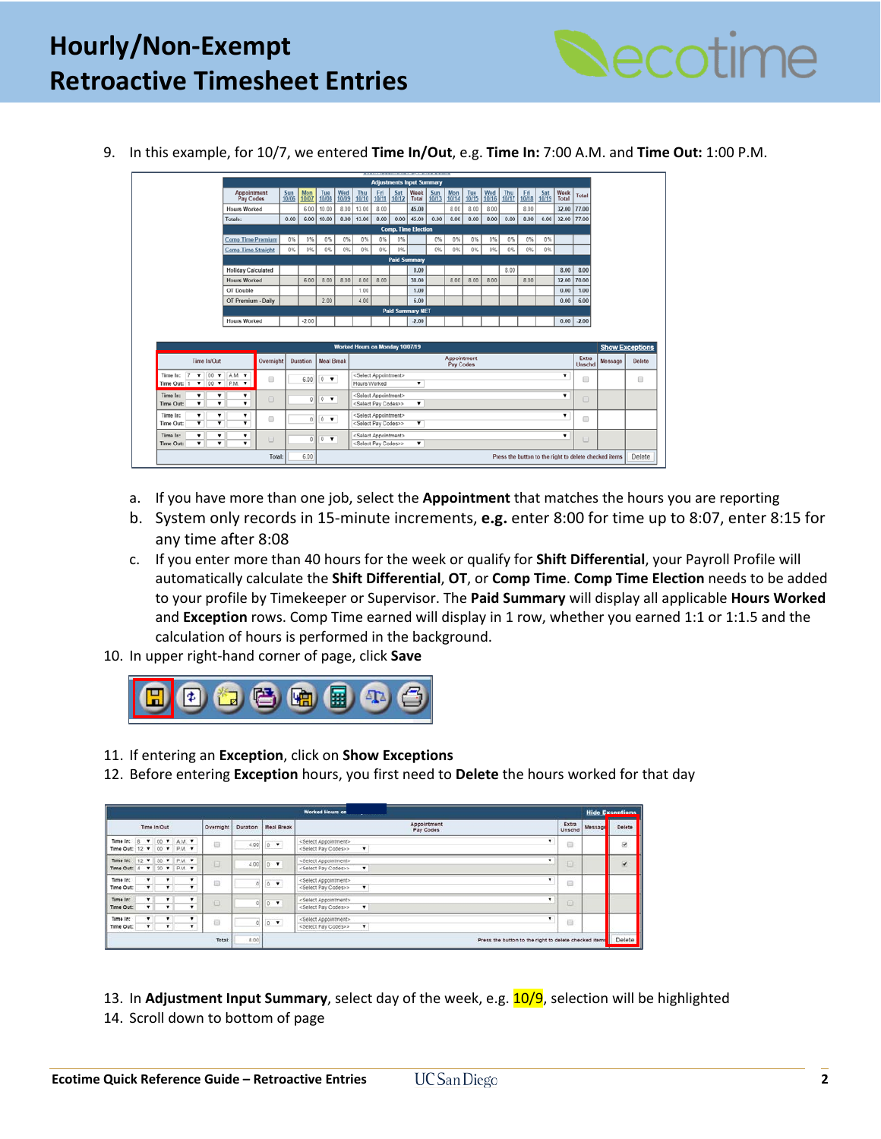

9. In this example, for 10/7, we entered **Time In/Out**, e.g. **Time In:** 7:00 A.M. and **Time Out:** 1:00 P.M.

|                                                                                          |                                         |                     |              |                                     |                            |                                                                            |              |                     | <b>Adjustments Input Summary</b> |              |                          |              |              |              |                   |                   |                |                 |                        |                                |
|------------------------------------------------------------------------------------------|-----------------------------------------|---------------------|--------------|-------------------------------------|----------------------------|----------------------------------------------------------------------------|--------------|---------------------|----------------------------------|--------------|--------------------------|--------------|--------------|--------------|-------------------|-------------------|----------------|-----------------|------------------------|--------------------------------|
|                                                                                          | Appointment<br>Pay Codes                | $\frac{Sum}{10/06}$ | Mon<br>10/07 | Tue<br>10/08                        | $\frac{\text{Wed}}{10/09}$ | Thu<br>10/10                                                               | Fri<br>10/11 | Sat<br>10/12        | Week<br>Total                    | Sun<br>10/13 | Mon<br>10/14             | Tue<br>10/15 | Wed<br>10/16 | Thu<br>10/17 | $rac{Fit}{10/18}$ | $rac{Sat}{10/19}$ | Week<br>Total  | Total           |                        |                                |
|                                                                                          | <b>Hours Worked</b>                     |                     | 6.00         | 10.00                               | 8.00                       | 13.00                                                                      | 8.00         |                     | 45.00                            |              | 8.00                     | 8.00         | 8.00         |              | 8.00              |                   | 32.00          | 77.00           |                        |                                |
|                                                                                          | Totals:                                 | 0.00                | 6.00         | 10.00                               |                            | $8.00$ 13.00                                                               | 8.00         |                     | $0.00$ 45.00                     | 0.00         | 8.00                     | 8.00         | 8.00         | 0.00         | 8.00              | 0.00              | 32.00 77.00    |                 |                        |                                |
|                                                                                          |                                         |                     |              |                                     |                            |                                                                            |              |                     | <b>Comp. Time Election</b>       |              |                          |              |              |              |                   |                   |                |                 |                        |                                |
|                                                                                          | <b>Comp Time Premium</b>                | 0%                  | 0%           | 0%                                  | 0%                         | 0%                                                                         | 0%           | 0%                  |                                  | 0%           | 0%                       | 0%           | 0%           | 0%           | 0%                | 0%                |                |                 |                        |                                |
|                                                                                          | <b>Comp Time Straight</b>               | 0%                  | 0%           | 0%                                  | 0%                         | 0%                                                                         | 0%           | 0%                  |                                  | 0%           | 0%                       | 0%           | 0%           | 0%           | $0\%$             | 0%                |                |                 |                        |                                |
|                                                                                          |                                         |                     |              |                                     |                            |                                                                            |              | <b>Paid Summary</b> |                                  |              |                          |              |              |              |                   |                   |                |                 |                        |                                |
|                                                                                          | <b>Holiday Calculated</b>               |                     |              |                                     |                            |                                                                            |              |                     | 0.00                             |              |                          |              |              | 8.00         |                   |                   | 8.00           | 8.00            |                        |                                |
|                                                                                          | <b>Hours Worked</b>                     |                     | 6.00         | 8.00                                | 8.00                       | 8.00                                                                       | 8.00         |                     | 38.00                            |              | 8.00                     | 8.00         | 8.00         |              | 8.00              |                   | 32.00          | 70.00           |                        |                                |
|                                                                                          | OT Double                               |                     |              |                                     |                            | 1.00                                                                       |              |                     | 1.00                             |              |                          |              |              |              |                   |                   | 0.00           | 1.00            |                        |                                |
|                                                                                          | OT Premium - Daily                      |                     |              | 2.00                                |                            | 4.00                                                                       |              |                     | 6.00                             |              |                          |              |              |              |                   |                   | 0.00           | 6.00            |                        |                                |
|                                                                                          |                                         |                     |              |                                     |                            |                                                                            |              |                     | <b>Paid Summary NET</b>          |              |                          |              |              |              |                   |                   |                |                 |                        |                                |
|                                                                                          | <b>Hours Worked</b>                     |                     | $-2.00$      |                                     |                            |                                                                            |              |                     | $-2.00$                          |              |                          |              |              |              |                   |                   |                | $0.00$ $.2.00$  |                        |                                |
|                                                                                          |                                         |                     |              |                                     |                            |                                                                            |              |                     |                                  |              |                          |              |              |              |                   |                   |                |                 |                        |                                |
|                                                                                          |                                         |                     |              |                                     |                            | <b>Worked Hours on Monday 10/07/19</b>                                     |              |                     |                                  |              |                          |              |              |              |                   |                   |                |                 | <b>Show Exceptions</b> |                                |
| Time In/Out                                                                              | Overnight                               |                     | Duration     | <b>Meal Break</b>                   |                            |                                                                            |              |                     |                                  |              | Appointment<br>Pay Codes |              |              |              |                   |                   |                | Extra<br>Unschd | Message                |                                |
| $\overline{7}$<br>$00 \times$<br>$\mathbf{v}$<br>Time In:<br>$\bullet$ 00 $\bullet$ P.M. | AM <sub></sub> v<br>⊟<br>$\textbf{v}$   |                     | 6.00         | $\bullet$<br>$\mathbb{O}$           |                            | <select appointment=""><br/>Hours Worked</select>                          |              |                     | $\pmb{\mathrm{v}}$               |              |                          |              |              |              |                   |                   |                | 0               |                        |                                |
| Time In:<br>▼                                                                            | ۰<br>۳<br>$\Box$<br>۰<br>$\blacksquare$ |                     | $\circ$      | 0<br>$\blacksquare$                 |                            | <select appointment=""><br/><select codes="" pay="">&gt;</select></select> |              |                     | ▼                                |              |                          |              |              |              |                   |                   | $\blacksquare$ | $\Box$          |                        |                                |
| Time Out: 1<br>Time Out:<br>Time In:<br>۰<br>۳<br>Time Out:<br>$\overline{\mathbf{v}}$   | ۰<br>⊟<br>$\overline{\mathbf{r}}$       |                     | $\theta$     | $0 - \mathbf{v}$                    |                            | <select appointment=""><br/><select codes="" pay="">&gt;</select></select> |              |                     | ▼                                |              |                          |              |              |              |                   |                   | ,              |                 |                        |                                |
| Time In:<br>۰<br>Time Out:<br>۰                                                          | ۰<br>$\Box$<br>┳                        |                     | $\Omega$     | $\overline{\phantom{a}}$<br>$\circ$ |                            | <select appointment=""><br/><select codes="" pay="">&gt;</select></select> |              |                     | ▼                                |              |                          |              |              |              |                   |                   |                | $\Box$          |                        | Delete<br>$\qquad \qquad \Box$ |

- a. If you have more than one job, select the **Appointment** that matches the hours you are reporting
- b. System only records in 15-minute increments, **e.g.** enter 8:00 for time up to 8:07, enter 8:15 for any time after 8:08
- c. If you enter more than 40 hours for the week or qualify for **Shift Differential**, your Payroll Profile will automatically calculate the **Shift Differential**, **OT**, or **Comp Time**. **Comp Time Election** needs to be added to your profile by Timekeeper or Supervisor. The **Paid Summary** will display all applicable **Hours Worked** and **Exception** rows. Comp Time earned will display in 1 row, whether you earned 1:1 or 1:1.5 and the calculation of hours is performed in the background.
- 10. In upper right-hand corner of page, click **Save**



- 11. If entering an **Exception**, click on **Show Exceptions**
- 12. Before entering **Exception** hours, you first need to **Delete** the hours worked for that day

|                                                                             |                    |                |                   |           |          |         |               | <b>Worked Hours on</b>                                                                                                        |   |                 |         | <b>Hide Exceptions</b> |
|-----------------------------------------------------------------------------|--------------------|----------------|-------------------|-----------|----------|---------|---------------|-------------------------------------------------------------------------------------------------------------------------------|---|-----------------|---------|------------------------|
|                                                                             |                    | Time In/Out    |                   | Overnight | Duration |         | Meal Break    | Appointment<br>Pay Codes                                                                                                      |   | Extra<br>Unschd | Message | Delete                 |
| Time In: 8 7 00 7 A.M. 7<br>Time Out: 12 7 00 7 P.M. 7                      |                    |                |                   | G         | 4.00     |         | $0$ $*$       | <select appointment=""><br/>۰<br/><select codes="" pay="">&gt;</select></select>                                              |   | $\Box$          |         | ø                      |
| Time In: 12 7 30 7 P.M. 7<br>Time Out: 4 <b>v</b> 30 <b>v</b> P.M. <b>v</b> |                    |                |                   | Ð         | 4.00     | $0 - 7$ |               | <select appointment=""><br/><select codes="" pay="">&gt;</select></select>                                                    | ٠ | Đ               |         | Ø.                     |
| Time In:<br>Time Out:                                                       | $\cdot$<br>$\cdot$ | ۰<br>۰         | ۰                 | Đ         |          |         | $0 - 4$       | <select appointment=""><br/><select codes="" pay="">&gt;</select></select>                                                    |   | $\Box$          |         |                        |
| Time In:<br>Time Out:                                                       | $\mathbf{v}$       | ۰<br>$\bullet$ | $\mathbf{r}$<br>۰ | G         |          |         | $0$ $\bullet$ | <select appointment=""><br/><select codes="" pay="">&gt;<br/><math display="inline">\pmb{\mathrm{v}}</math></select></select> |   | Ð               |         |                        |
| Time In:<br>Time Out:                                                       | ۰                  | ۰<br>۰         | ٠                 | 司         |          |         | $0 - 7$       | <select appointment=""><br/><select codes="" pay="">&gt;</select></select>                                                    |   | $\Box$          |         |                        |
|                                                                             |                    |                |                   | Total:    | 8.00     |         |               | Press the button to the right to delete checked items                                                                         |   |                 |         | Delete                 |

13. In **Adjustment Input Summary**, select day of the week, e.g. 10/9, selection will be highlighted

14. Scroll down to bottom of page